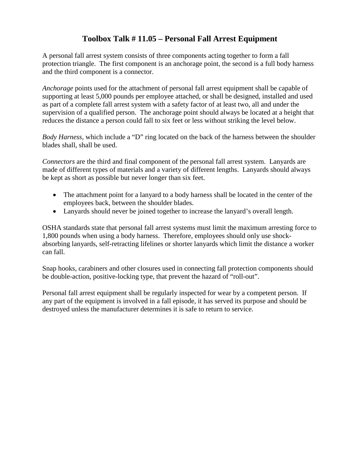## **Toolbox Talk # 11.05 – Personal Fall Arrest Equipment**

A personal fall arrest system consists of three components acting together to form a fall protection triangle. The first component is an anchorage point, the second is a full body harness and the third component is a connector.

*Anchorage* points used for the attachment of personal fall arrest equipment shall be capable of supporting at least 5,000 pounds per employee attached, or shall be designed, installed and used as part of a complete fall arrest system with a safety factor of at least two, all and under the supervision of a qualified person. The anchorage point should always be located at a height that reduces the distance a person could fall to six feet or less without striking the level below.

*Body Harness,* which include a "D" ring located on the back of the harness between the shoulder blades shall, shall be used.

*Connectors* are the third and final component of the personal fall arrest system. Lanyards are made of different types of materials and a variety of different lengths. Lanyards should always be kept as short as possible but never longer than six feet.

- The attachment point for a lanyard to a body harness shall be located in the center of the employees back, between the shoulder blades.
- Lanyards should never be joined together to increase the lanyard's overall length.

OSHA standards state that personal fall arrest systems must limit the maximum arresting force to 1,800 pounds when using a body harness. Therefore, employees should only use shockabsorbing lanyards, self-retracting lifelines or shorter lanyards which limit the distance a worker can fall.

Snap hooks, carabiners and other closures used in connecting fall protection components should be double-action, positive-locking type, that prevent the hazard of "roll-out".

Personal fall arrest equipment shall be regularly inspected for wear by a competent person. If any part of the equipment is involved in a fall episode, it has served its purpose and should be destroyed unless the manufacturer determines it is safe to return to service.